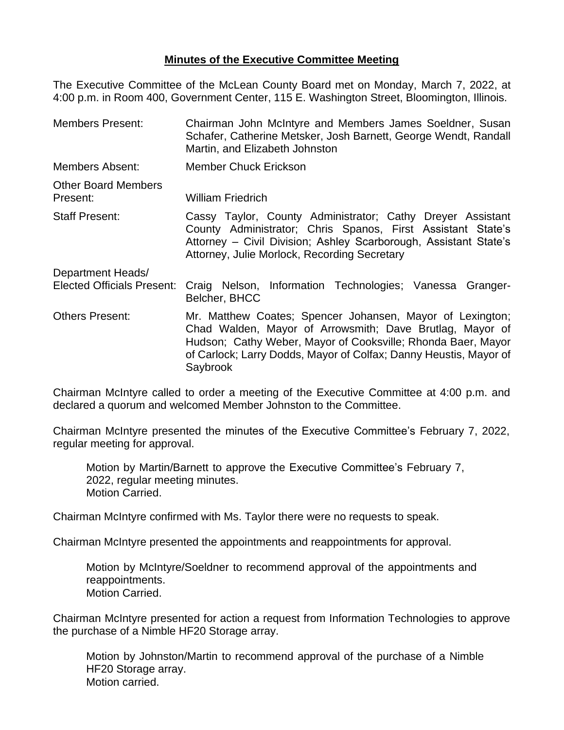## **Minutes of the Executive Committee Meeting**

The Executive Committee of the McLean County Board met on Monday, March 7, 2022, at 4:00 p.m. in Room 400, Government Center, 115 E. Washington Street, Bloomington, Illinois.

Members Present: Chairman John McIntyre and Members James Soeldner, Susan Schafer, Catherine Metsker, Josh Barnett, George Wendt, Randall Martin, and Elizabeth Johnston Members Absent: Member Chuck Erickson Other Board Members Present: William Friedrich Staff Present: Cassy Taylor, County Administrator; Cathy Dreyer Assistant County Administrator; Chris Spanos, First Assistant State's Attorney – Civil Division; Ashley Scarborough, Assistant State's Attorney, Julie Morlock, Recording Secretary Department Heads/ Elected Officials Present: Craig Nelson, Information Technologies; Vanessa Granger-Belcher, BHCC Others Present: Mr. Matthew Coates; Spencer Johansen, Mayor of Lexington; Chad Walden, Mayor of Arrowsmith; Dave Brutlag, Mayor of Hudson; Cathy Weber, Mayor of Cooksville; Rhonda Baer, Mayor of Carlock; Larry Dodds, Mayor of Colfax; Danny Heustis, Mayor of Saybrook

Chairman McIntyre called to order a meeting of the Executive Committee at 4:00 p.m. and declared a quorum and welcomed Member Johnston to the Committee.

Chairman McIntyre presented the minutes of the Executive Committee's February 7, 2022, regular meeting for approval.

Motion by Martin/Barnett to approve the Executive Committee's February 7, 2022, regular meeting minutes. Motion Carried.

Chairman McIntyre confirmed with Ms. Taylor there were no requests to speak.

Chairman McIntyre presented the appointments and reappointments for approval.

Motion by McIntyre/Soeldner to recommend approval of the appointments and reappointments. Motion Carried.

Chairman McIntyre presented for action a request from Information Technologies to approve the purchase of a Nimble HF20 Storage array.

Motion by Johnston/Martin to recommend approval of the purchase of a Nimble HF20 Storage array. Motion carried.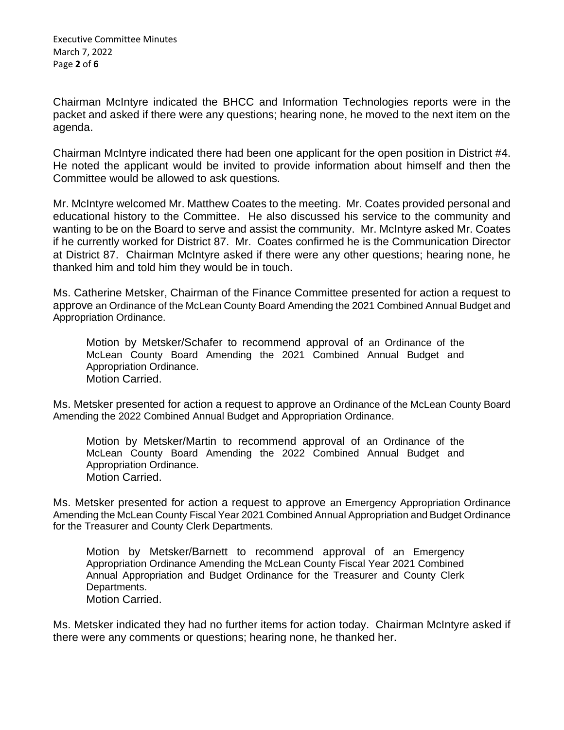Chairman McIntyre indicated the BHCC and Information Technologies reports were in the packet and asked if there were any questions; hearing none, he moved to the next item on the agenda.

Chairman McIntyre indicated there had been one applicant for the open position in District #4. He noted the applicant would be invited to provide information about himself and then the Committee would be allowed to ask questions.

Mr. McIntyre welcomed Mr. Matthew Coates to the meeting. Mr. Coates provided personal and educational history to the Committee. He also discussed his service to the community and wanting to be on the Board to serve and assist the community. Mr. McIntyre asked Mr. Coates if he currently worked for District 87. Mr. Coates confirmed he is the Communication Director at District 87. Chairman McIntyre asked if there were any other questions; hearing none, he thanked him and told him they would be in touch.

Ms. Catherine Metsker, Chairman of the Finance Committee presented for action a request to approve an Ordinance of the McLean County Board Amending the 2021 Combined Annual Budget and Appropriation Ordinance.

Motion by Metsker/Schafer to recommend approval of an Ordinance of the McLean County Board Amending the 2021 Combined Annual Budget and Appropriation Ordinance. Motion Carried.

Ms. Metsker presented for action a request to approve an Ordinance of the McLean County Board Amending the 2022 Combined Annual Budget and Appropriation Ordinance.

Motion by Metsker/Martin to recommend approval of an Ordinance of the McLean County Board Amending the 2022 Combined Annual Budget and Appropriation Ordinance. Motion Carried.

Ms. Metsker presented for action a request to approve an Emergency Appropriation Ordinance Amending the McLean County Fiscal Year 2021 Combined Annual Appropriation and Budget Ordinance for the Treasurer and County Clerk Departments.

Motion by Metsker/Barnett to recommend approval of an Emergency Appropriation Ordinance Amending the McLean County Fiscal Year 2021 Combined Annual Appropriation and Budget Ordinance for the Treasurer and County Clerk Departments. Motion Carried.

Ms. Metsker indicated they had no further items for action today. Chairman McIntyre asked if there were any comments or questions; hearing none, he thanked her.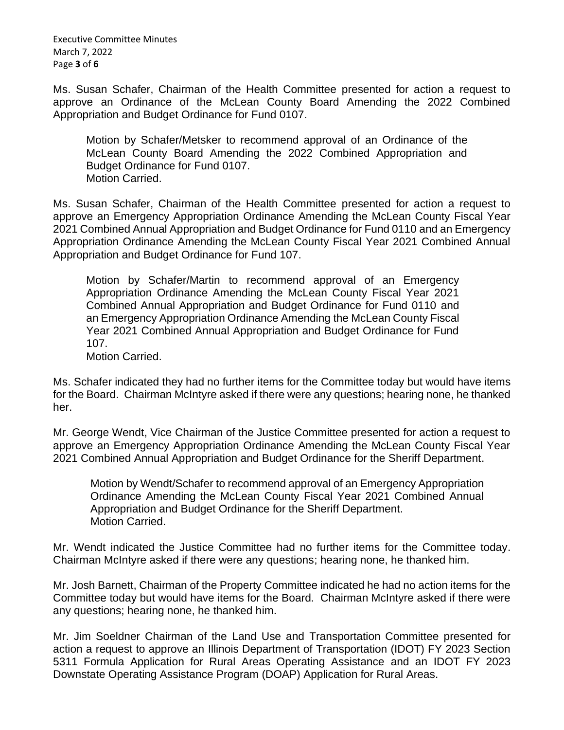Executive Committee Minutes March 7, 2022 Page **3** of **6**

Ms. Susan Schafer, Chairman of the Health Committee presented for action a request to approve an Ordinance of the McLean County Board Amending the 2022 Combined Appropriation and Budget Ordinance for Fund 0107.

Motion by Schafer/Metsker to recommend approval of an Ordinance of the McLean County Board Amending the 2022 Combined Appropriation and Budget Ordinance for Fund 0107. Motion Carried.

Ms. Susan Schafer, Chairman of the Health Committee presented for action a request to approve an Emergency Appropriation Ordinance Amending the McLean County Fiscal Year 2021 Combined Annual Appropriation and Budget Ordinance for Fund 0110 and an Emergency Appropriation Ordinance Amending the McLean County Fiscal Year 2021 Combined Annual Appropriation and Budget Ordinance for Fund 107.

Motion by Schafer/Martin to recommend approval of an Emergency Appropriation Ordinance Amending the McLean County Fiscal Year 2021 Combined Annual Appropriation and Budget Ordinance for Fund 0110 and an Emergency Appropriation Ordinance Amending the McLean County Fiscal Year 2021 Combined Annual Appropriation and Budget Ordinance for Fund 107.

Motion Carried.

Ms. Schafer indicated they had no further items for the Committee today but would have items for the Board. Chairman McIntyre asked if there were any questions; hearing none, he thanked her.

Mr. George Wendt, Vice Chairman of the Justice Committee presented for action a request to approve an Emergency Appropriation Ordinance Amending the McLean County Fiscal Year 2021 Combined Annual Appropriation and Budget Ordinance for the Sheriff Department.

Motion by Wendt/Schafer to recommend approval of an Emergency Appropriation Ordinance Amending the McLean County Fiscal Year 2021 Combined Annual Appropriation and Budget Ordinance for the Sheriff Department. Motion Carried.

Mr. Wendt indicated the Justice Committee had no further items for the Committee today. Chairman McIntyre asked if there were any questions; hearing none, he thanked him.

Mr. Josh Barnett, Chairman of the Property Committee indicated he had no action items for the Committee today but would have items for the Board. Chairman McIntyre asked if there were any questions; hearing none, he thanked him.

Mr. Jim Soeldner Chairman of the Land Use and Transportation Committee presented for action a request to approve an Illinois Department of Transportation (IDOT) FY 2023 Section 5311 Formula Application for Rural Areas Operating Assistance and an IDOT FY 2023 Downstate Operating Assistance Program (DOAP) Application for Rural Areas.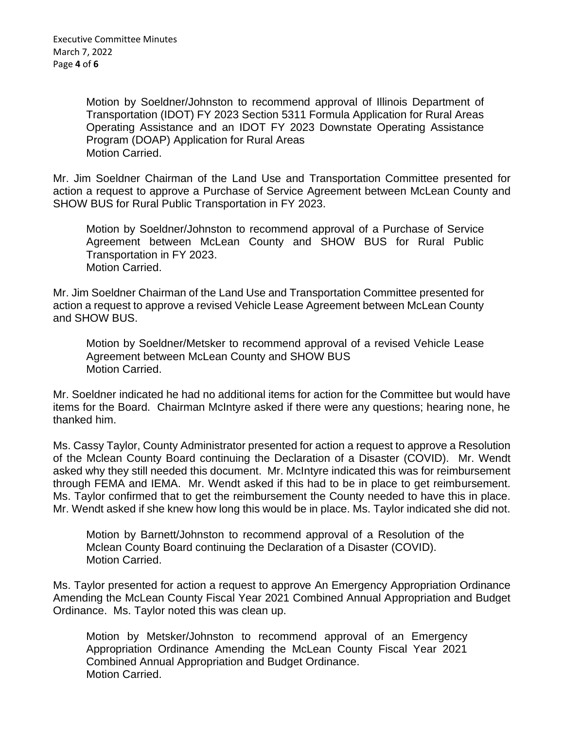Motion by Soeldner/Johnston to recommend approval of Illinois Department of Transportation (IDOT) FY 2023 Section 5311 Formula Application for Rural Areas Operating Assistance and an IDOT FY 2023 Downstate Operating Assistance Program (DOAP) Application for Rural Areas Motion Carried.

Mr. Jim Soeldner Chairman of the Land Use and Transportation Committee presented for action a request to approve a Purchase of Service Agreement between McLean County and SHOW BUS for Rural Public Transportation in FY 2023.

Motion by Soeldner/Johnston to recommend approval of a Purchase of Service Agreement between McLean County and SHOW BUS for Rural Public Transportation in FY 2023. Motion Carried.

Mr. Jim Soeldner Chairman of the Land Use and Transportation Committee presented for action a request to approve a revised Vehicle Lease Agreement between McLean County and SHOW BUS.

Motion by Soeldner/Metsker to recommend approval of a revised Vehicle Lease Agreement between McLean County and SHOW BUS Motion Carried.

Mr. Soeldner indicated he had no additional items for action for the Committee but would have items for the Board. Chairman McIntyre asked if there were any questions; hearing none, he thanked him.

Ms. Cassy Taylor, County Administrator presented for action a request to approve a Resolution of the Mclean County Board continuing the Declaration of a Disaster (COVID). Mr. Wendt asked why they still needed this document. Mr. McIntyre indicated this was for reimbursement through FEMA and IEMA. Mr. Wendt asked if this had to be in place to get reimbursement. Ms. Taylor confirmed that to get the reimbursement the County needed to have this in place. Mr. Wendt asked if she knew how long this would be in place. Ms. Taylor indicated she did not.

Motion by Barnett/Johnston to recommend approval of a Resolution of the Mclean County Board continuing the Declaration of a Disaster (COVID). Motion Carried.

Ms. Taylor presented for action a request to approve An Emergency Appropriation Ordinance Amending the McLean County Fiscal Year 2021 Combined Annual Appropriation and Budget Ordinance. Ms. Taylor noted this was clean up.

Motion by Metsker/Johnston to recommend approval of an Emergency Appropriation Ordinance Amending the McLean County Fiscal Year 2021 Combined Annual Appropriation and Budget Ordinance. Motion Carried.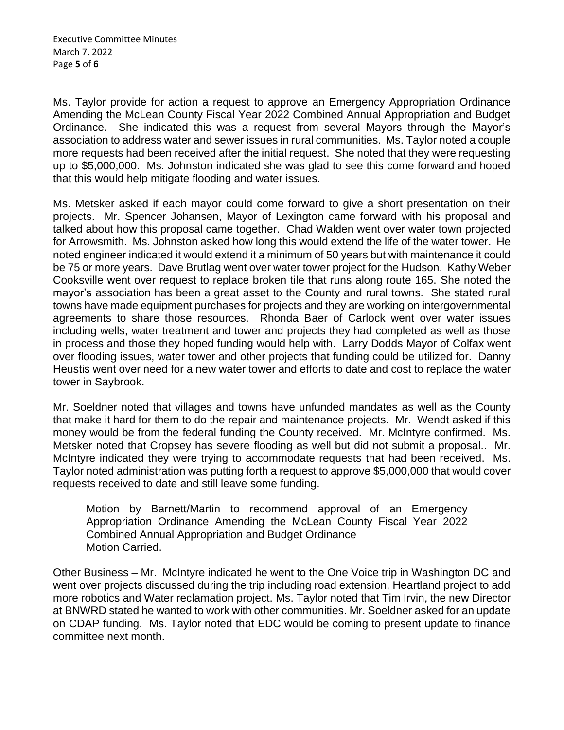Ms. Taylor provide for action a request to approve an Emergency Appropriation Ordinance Amending the McLean County Fiscal Year 2022 Combined Annual Appropriation and Budget Ordinance. She indicated this was a request from several Mayors through the Mayor's association to address water and sewer issues in rural communities. Ms. Taylor noted a couple more requests had been received after the initial request. She noted that they were requesting up to \$5,000,000. Ms. Johnston indicated she was glad to see this come forward and hoped that this would help mitigate flooding and water issues.

Ms. Metsker asked if each mayor could come forward to give a short presentation on their projects. Mr. Spencer Johansen, Mayor of Lexington came forward with his proposal and talked about how this proposal came together. Chad Walden went over water town projected for Arrowsmith. Ms. Johnston asked how long this would extend the life of the water tower. He noted engineer indicated it would extend it a minimum of 50 years but with maintenance it could be 75 or more years. Dave Brutlag went over water tower project for the Hudson. Kathy Weber Cooksville went over request to replace broken tile that runs along route 165. She noted the mayor's association has been a great asset to the County and rural towns. She stated rural towns have made equipment purchases for projects and they are working on intergovernmental agreements to share those resources. Rhonda Baer of Carlock went over water issues including wells, water treatment and tower and projects they had completed as well as those in process and those they hoped funding would help with. Larry Dodds Mayor of Colfax went over flooding issues, water tower and other projects that funding could be utilized for. Danny Heustis went over need for a new water tower and efforts to date and cost to replace the water tower in Saybrook.

Mr. Soeldner noted that villages and towns have unfunded mandates as well as the County that make it hard for them to do the repair and maintenance projects. Mr. Wendt asked if this money would be from the federal funding the County received. Mr. McIntyre confirmed. Ms. Metsker noted that Cropsey has severe flooding as well but did not submit a proposal.. Mr. McIntyre indicated they were trying to accommodate requests that had been received. Ms. Taylor noted administration was putting forth a request to approve \$5,000,000 that would cover requests received to date and still leave some funding.

Motion by Barnett/Martin to recommend approval of an Emergency Appropriation Ordinance Amending the McLean County Fiscal Year 2022 Combined Annual Appropriation and Budget Ordinance Motion Carried.

Other Business – Mr. McIntyre indicated he went to the One Voice trip in Washington DC and went over projects discussed during the trip including road extension, Heartland project to add more robotics and Water reclamation project. Ms. Taylor noted that Tim Irvin, the new Director at BNWRD stated he wanted to work with other communities. Mr. Soeldner asked for an update on CDAP funding. Ms. Taylor noted that EDC would be coming to present update to finance committee next month.